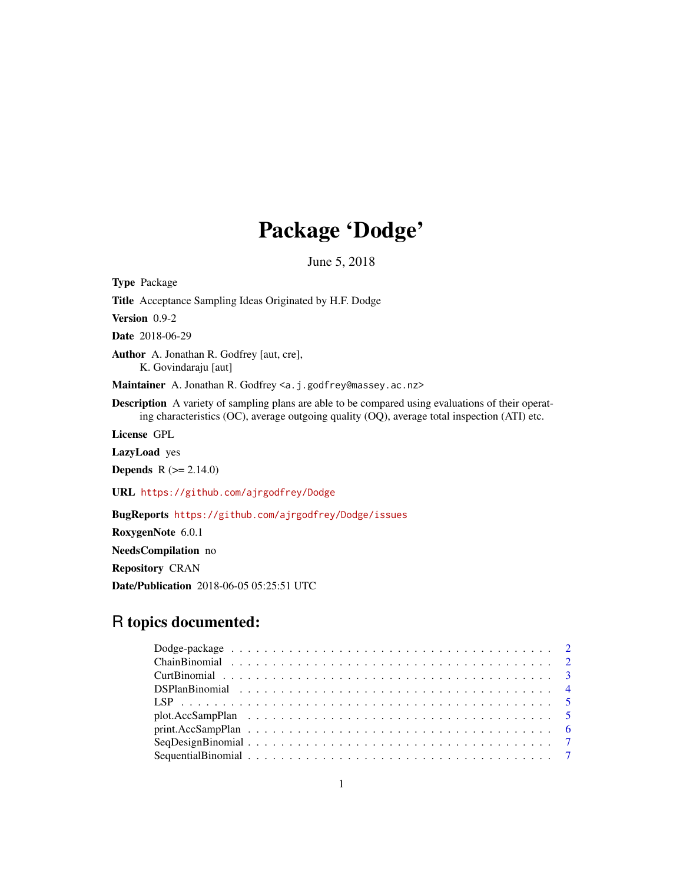# Package 'Dodge'

June 5, 2018

Type Package Title Acceptance Sampling Ideas Originated by H.F. Dodge Version 0.9-2 Date 2018-06-29 Author A. Jonathan R. Godfrey [aut, cre], K. Govindaraju [aut] Maintainer A. Jonathan R. Godfrey <a.j.godfrey@massey.ac.nz> Description A variety of sampling plans are able to be compared using evaluations of their operating characteristics (OC), average outgoing quality (OQ), average total inspection (ATI) etc. License GPL LazyLoad yes **Depends**  $R$  ( $>= 2.14.0$ ) URL <https://github.com/ajrgodfrey/Dodge> BugReports <https://github.com/ajrgodfrey/Dodge/issues> RoxygenNote 6.0.1 NeedsCompilation no Repository CRAN

Date/Publication 2018-06-05 05:25:51 UTC

## R topics documented: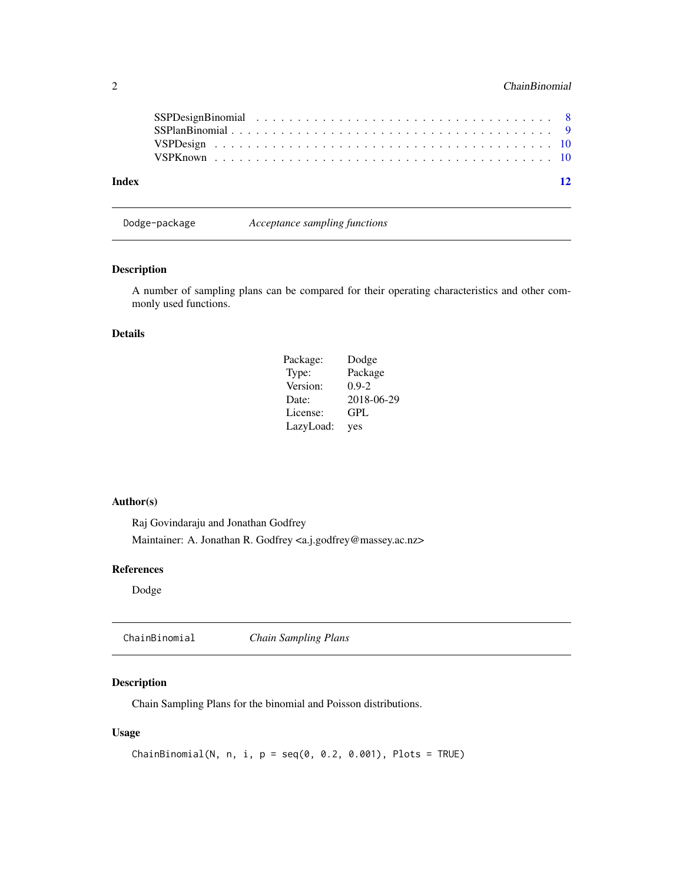<span id="page-1-0"></span>

| Index | $\overline{12}$ |
|-------|-----------------|

Dodge-package *Acceptance sampling functions*

### Description

A number of sampling plans can be compared for their operating characteristics and other commonly used functions.

#### Details

| Package:  | Dodge      |
|-----------|------------|
| Type:     | Package    |
| Version:  | $0.9 - 2$  |
| Date:     | 2018-06-29 |
| License:  | GPL        |
| LazyLoad: | yes        |

#### Author(s)

Raj Govindaraju and Jonathan Godfrey Maintainer: A. Jonathan R. Godfrey <a.j.godfrey@massey.ac.nz>

#### References

Dodge

ChainBinomial *Chain Sampling Plans*

#### Description

Chain Sampling Plans for the binomial and Poisson distributions.

#### Usage

```
ChainBinomial(N, n, i, p = seq(0, 0.2, 0.001), Plots = TRUE)
```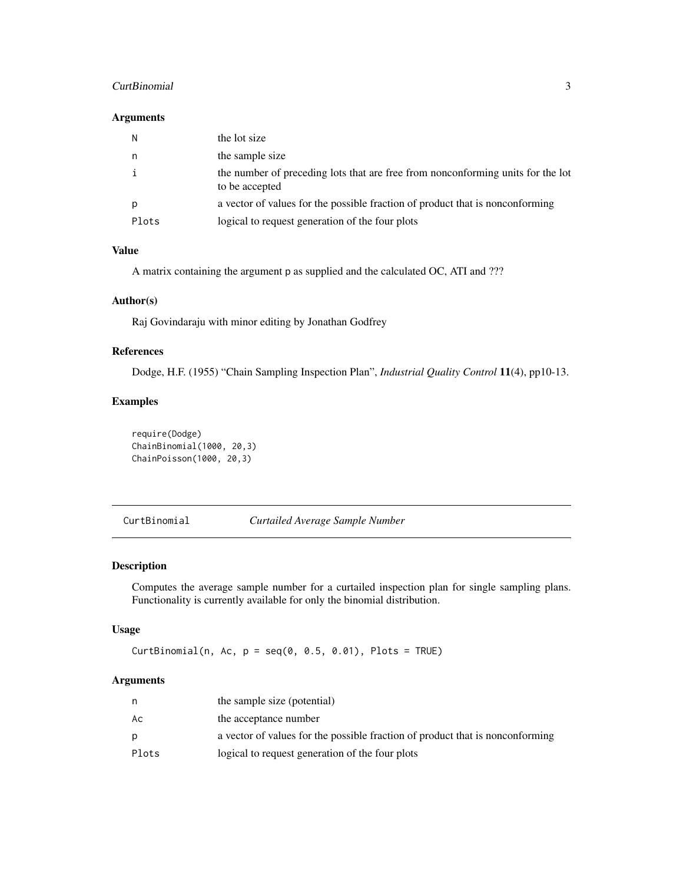#### <span id="page-2-0"></span>CurtBinomial 3

#### Arguments

| N     | the lot size                                                                                      |
|-------|---------------------------------------------------------------------------------------------------|
| n     | the sample size                                                                                   |
|       | the number of preceding lots that are free from nonconforming units for the lot<br>to be accepted |
| D     | a vector of values for the possible fraction of product that is nonconforming                     |
| Plots | logical to request generation of the four plots                                                   |

#### Value

A matrix containing the argument p as supplied and the calculated OC, ATI and ???

#### Author(s)

Raj Govindaraju with minor editing by Jonathan Godfrey

#### References

Dodge, H.F. (1955) "Chain Sampling Inspection Plan", *Industrial Quality Control* 11(4), pp10-13.

#### Examples

```
require(Dodge)
ChainBinomial(1000, 20,3)
ChainPoisson(1000, 20,3)
```
CurtBinomial *Curtailed Average Sample Number*

#### Description

Computes the average sample number for a curtailed inspection plan for single sampling plans. Functionality is currently available for only the binomial distribution.

#### Usage

CurtBinomial(n, Ac,  $p = seq(0, 0.5, 0.01)$ , Plots = TRUE)

#### Arguments

|       | the sample size (potential)                                                   |
|-------|-------------------------------------------------------------------------------|
| Aс    | the acceptance number                                                         |
| D.    | a vector of values for the possible fraction of product that is nonconforming |
| Plots | logical to request generation of the four plots                               |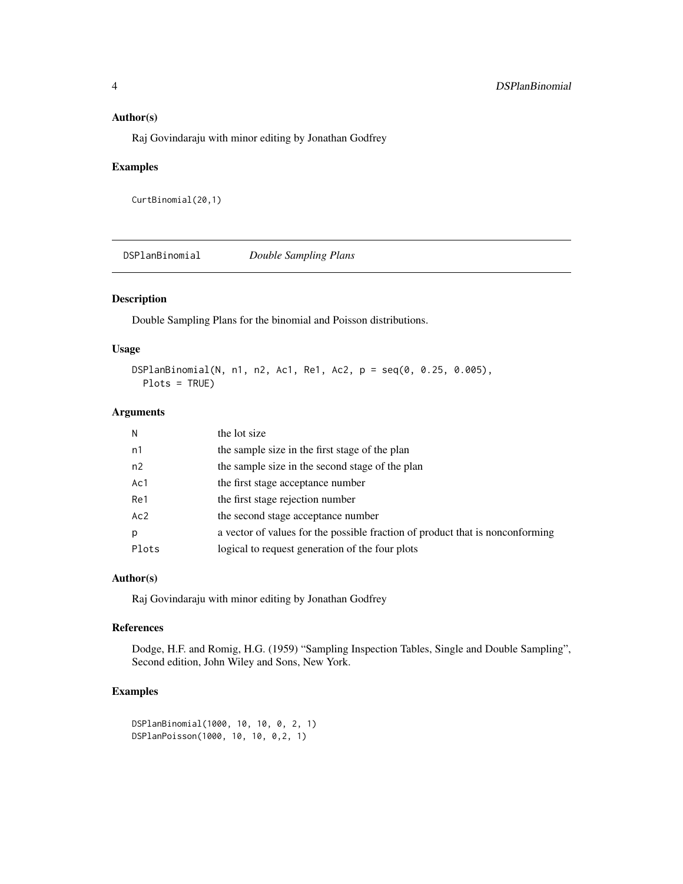#### <span id="page-3-0"></span>Author(s)

Raj Govindaraju with minor editing by Jonathan Godfrey

#### Examples

```
CurtBinomial(20,1)
```
DSPlanBinomial *Double Sampling Plans*

#### Description

Double Sampling Plans for the binomial and Poisson distributions.

#### Usage

DSPlanBinomial(N, n1, n2, Ac1, Re1, Ac2, p = seq(0, 0.25, 0.005), Plots = TRUE)

#### Arguments

| N              | the lot size                                                                  |
|----------------|-------------------------------------------------------------------------------|
| n1             | the sample size in the first stage of the plan                                |
| n <sub>2</sub> | the sample size in the second stage of the plan                               |
| Ac1            | the first stage acceptance number                                             |
| Re1            | the first stage rejection number                                              |
| Ac2            | the second stage acceptance number                                            |
| p              | a vector of values for the possible fraction of product that is nonconforming |
| Plots          | logical to request generation of the four plots                               |

#### Author(s)

Raj Govindaraju with minor editing by Jonathan Godfrey

#### References

Dodge, H.F. and Romig, H.G. (1959) "Sampling Inspection Tables, Single and Double Sampling", Second edition, John Wiley and Sons, New York.

#### Examples

```
DSPlanBinomial(1000, 10, 10, 0, 2, 1)
DSPlanPoisson(1000, 10, 10, 0,2, 1)
```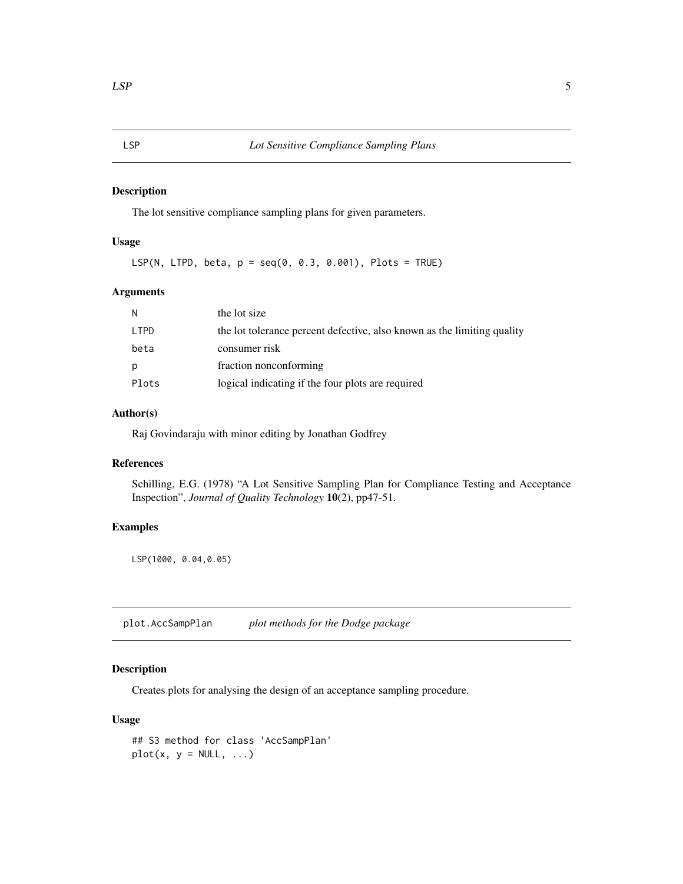#### <span id="page-4-0"></span>Description

The lot sensitive compliance sampling plans for given parameters.

#### Usage

LSP(N, LTPD, beta,  $p = seq(0, 0.3, 0.001)$ , Plots = TRUE)

#### Arguments

| N     | the lot size                                                            |
|-------|-------------------------------------------------------------------------|
| LTPD  | the lot tolerance percent defective, also known as the limiting quality |
| beta  | consumer risk                                                           |
| р     | fraction nonconforming                                                  |
| Plots | logical indicating if the four plots are required                       |

#### Author(s)

Raj Govindaraju with minor editing by Jonathan Godfrey

#### References

Schilling, E.G. (1978) "A Lot Sensitive Sampling Plan for Compliance Testing and Acceptance Inspection", *Journal of Quality Technology* 10(2), pp47-51.

#### Examples

LSP(1000, 0.04,0.05)

<span id="page-4-1"></span>plot.AccSampPlan *plot methods for the Dodge package*

#### Description

Creates plots for analysing the design of an acceptance sampling procedure.

#### Usage

```
## S3 method for class 'AccSampPlan'
plot(x, y = NULL, ...)
```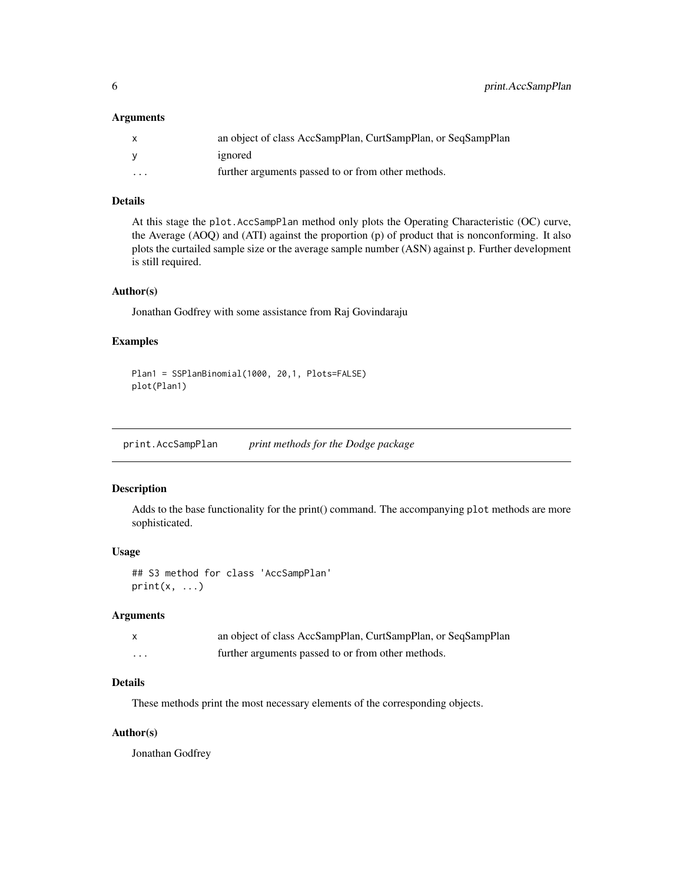#### <span id="page-5-0"></span>Arguments

|                      | an object of class AccSampPlan, CurtSampPlan, or SeqSampPlan |
|----------------------|--------------------------------------------------------------|
|                      | ignored                                                      |
| $\ddot{\phantom{0}}$ | further arguments passed to or from other methods.           |

#### Details

At this stage the plot.AccSampPlan method only plots the Operating Characteristic (OC) curve, the Average (AOQ) and (ATI) against the proportion (p) of product that is nonconforming. It also plots the curtailed sample size or the average sample number (ASN) against p. Further development is still required.

#### Author(s)

Jonathan Godfrey with some assistance from Raj Govindaraju

#### Examples

```
Plan1 = SSPlanBinomial(1000, 20,1, Plots=FALSE)
plot(Plan1)
```
print.AccSampPlan *print methods for the Dodge package*

#### Description

Adds to the base functionality for the print() command. The accompanying plot methods are more sophisticated.

#### Usage

```
## S3 method for class 'AccSampPlan'
print(x, \ldots)
```
#### Arguments

|         | an object of class AccSampPlan, CurtSampPlan, or SeqSampPlan |
|---------|--------------------------------------------------------------|
| $\cdot$ | further arguments passed to or from other methods.           |

#### Details

These methods print the most necessary elements of the corresponding objects.

#### Author(s)

Jonathan Godfrey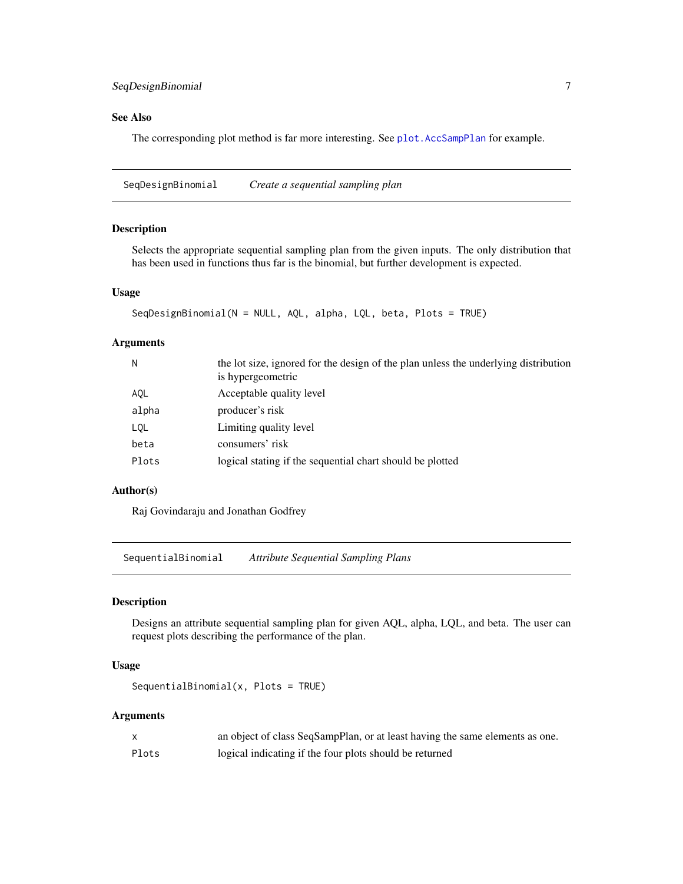#### <span id="page-6-0"></span>See Also

The corresponding plot method is far more interesting. See [plot.AccSampPlan](#page-4-1) for example.

SeqDesignBinomial *Create a sequential sampling plan*

#### Description

Selects the appropriate sequential sampling plan from the given inputs. The only distribution that has been used in functions thus far is the binomial, but further development is expected.

#### Usage

```
SeqDesignBinomial(N = NULL, AQL, alpha, LQL, beta, Plots = TRUE)
```
#### Arguments

| N     | the lot size, ignored for the design of the plan unless the underlying distribution<br>is hypergeometric |
|-------|----------------------------------------------------------------------------------------------------------|
| AQL   | Acceptable quality level                                                                                 |
| alpha | producer's risk                                                                                          |
| LQL   | Limiting quality level                                                                                   |
| beta  | consumers' risk                                                                                          |
| Plots | logical stating if the sequential chart should be plotted                                                |
|       |                                                                                                          |

#### Author(s)

Raj Govindaraju and Jonathan Godfrey

SequentialBinomial *Attribute Sequential Sampling Plans*

#### Description

Designs an attribute sequential sampling plan for given AQL, alpha, LQL, and beta. The user can request plots describing the performance of the plan.

#### Usage

```
SequentialBinomial(x, Plots = TRUE)
```
#### Arguments

|       | an object of class SeqSampPlan, or at least having the same elements as one. |
|-------|------------------------------------------------------------------------------|
| Plots | logical indicating if the four plots should be returned                      |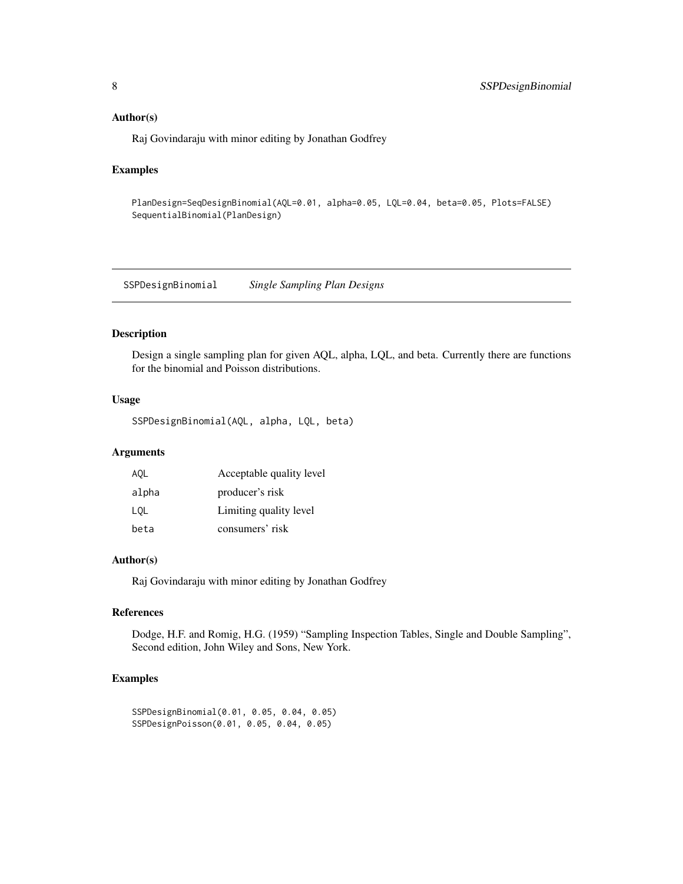#### <span id="page-7-0"></span>Author(s)

Raj Govindaraju with minor editing by Jonathan Godfrey

#### Examples

```
PlanDesign=SeqDesignBinomial(AQL=0.01, alpha=0.05, LQL=0.04, beta=0.05, Plots=FALSE)
SequentialBinomial(PlanDesign)
```
SSPDesignBinomial *Single Sampling Plan Designs*

#### Description

Design a single sampling plan for given AQL, alpha, LQL, and beta. Currently there are functions for the binomial and Poisson distributions.

#### Usage

```
SSPDesignBinomial(AQL, alpha, LQL, beta)
```
#### Arguments

| AQL   | Acceptable quality level |
|-------|--------------------------|
| alpha | producer's risk          |
| LOL   | Limiting quality level   |
| beta  | consumers' risk          |

#### Author(s)

Raj Govindaraju with minor editing by Jonathan Godfrey

#### References

Dodge, H.F. and Romig, H.G. (1959) "Sampling Inspection Tables, Single and Double Sampling", Second edition, John Wiley and Sons, New York.

#### Examples

```
SSPDesignBinomial(0.01, 0.05, 0.04, 0.05)
SSPDesignPoisson(0.01, 0.05, 0.04, 0.05)
```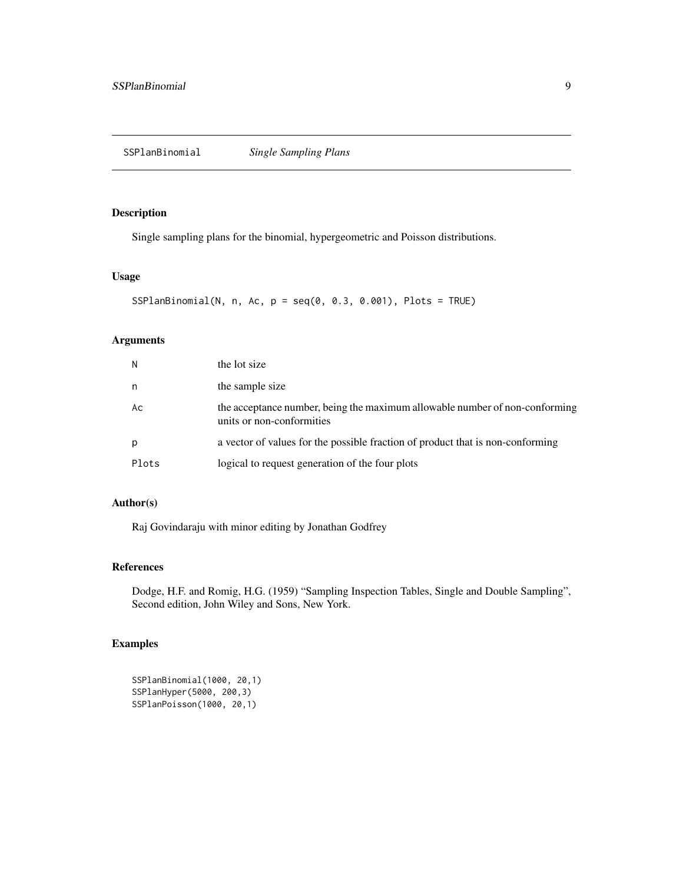#### <span id="page-8-0"></span>Description

Single sampling plans for the binomial, hypergeometric and Poisson distributions.

#### Usage

```
SSPlanBinomial(N, n, Ac, p = seq(0, 0.3, 0.001), Plots = TRUE)
```
#### Arguments

| N     | the lot size                                                                                             |
|-------|----------------------------------------------------------------------------------------------------------|
| n     | the sample size                                                                                          |
| Ac    | the acceptance number, being the maximum allowable number of non-conforming<br>units or non-conformities |
| p     | a vector of values for the possible fraction of product that is non-conforming                           |
| Plots | logical to request generation of the four plots                                                          |

#### Author(s)

Raj Govindaraju with minor editing by Jonathan Godfrey

#### References

Dodge, H.F. and Romig, H.G. (1959) "Sampling Inspection Tables, Single and Double Sampling", Second edition, John Wiley and Sons, New York.

### Examples

```
SSPlanBinomial(1000, 20,1)
SSPlanHyper(5000, 200,3)
SSPlanPoisson(1000, 20,1)
```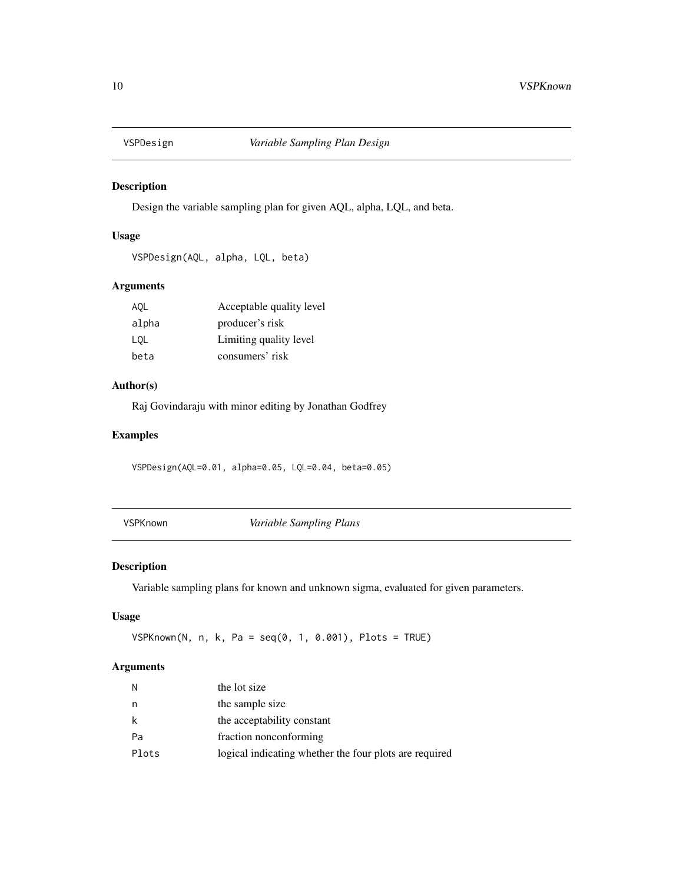<span id="page-9-0"></span>

#### Description

Design the variable sampling plan for given AQL, alpha, LQL, and beta.

#### Usage

```
VSPDesign(AQL, alpha, LQL, beta)
```
#### Arguments

| AQL   | Acceptable quality level |
|-------|--------------------------|
| alpha | producer's risk          |
| LOL   | Limiting quality level   |
| beta  | consumers' risk          |

#### Author(s)

Raj Govindaraju with minor editing by Jonathan Godfrey

#### Examples

VSPDesign(AQL=0.01, alpha=0.05, LQL=0.04, beta=0.05)

VSPKnown *Variable Sampling Plans*

#### Description

Variable sampling plans for known and unknown sigma, evaluated for given parameters.

#### Usage

VSPKnown(N, n, k, Pa = seq(0, 1, 0.001), Plots = TRUE)

#### Arguments

| N     | the lot size                                           |
|-------|--------------------------------------------------------|
| n     | the sample size                                        |
| k     | the acceptability constant                             |
| Pa    | fraction nonconforming                                 |
| Plots | logical indicating whether the four plots are required |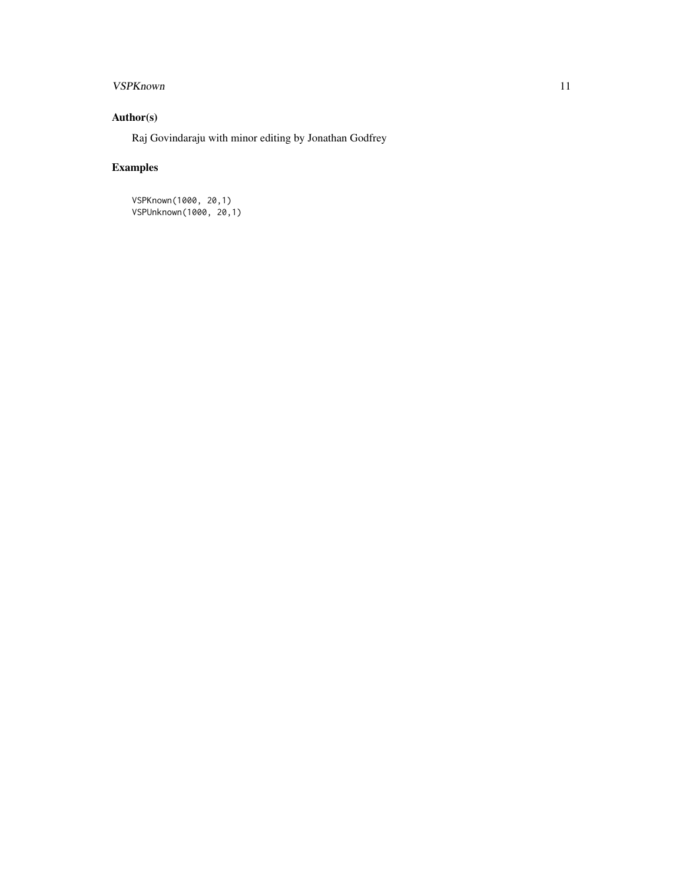### VSPKnown 11

### Author(s)

Raj Govindaraju with minor editing by Jonathan Godfrey

### Examples

VSPKnown(1000, 20,1) VSPUnknown(1000, 20,1)